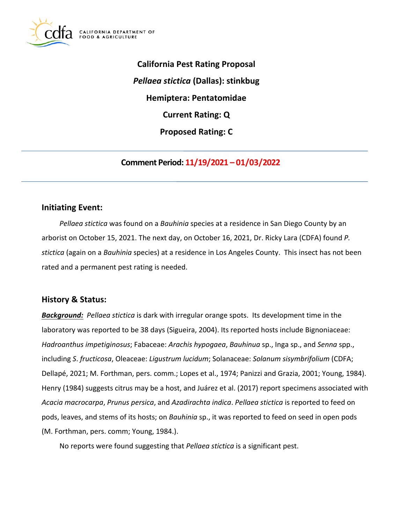

**California Pest Rating Proposal**  *Pellaea stictica* **(Dallas): stinkbug Hemiptera: Pentatomidae Current Rating: Q Proposed Rating: C** 

**Comment Period: 11/19/2021 – 01/03/2022**

# **Initiating Event:**

*Pellaea stictica* was found on a *Bauhinia* species at a residence in San Diego County by an arborist on October 15, 2021. The next day, on October 16, 2021, Dr. Ricky Lara (CDFA) found *P. stictica* (again on a *Bauhinia* species) at a residence in Los Angeles County. This insect has not been rated and a permanent pest rating is needed.

### **History & Status:**

*Background: Pellaea stictica* is dark with irregular orange spots. Its development time in the laboratory was reported to be 38 days (Sigueira, 2004). Its reported hosts include Bignoniaceae: *Hadroanthus impetiginosus*; Fabaceae: *Arachis hypogaea*, *Bauhinua* sp., Inga sp., and *Senna* spp., including *S*. *fructicosa*, Oleaceae: *Ligustrum lucidum*; Solanaceae: *Solanum sisymbrifolium* (CDFA; Dellapé, 2021; M. Forthman, pers. comm.; Lopes et al., 1974; Panizzi and Grazia, 2001; Young, 1984). Henry (1984) suggests citrus may be a host, and Juárez et al. (2017) report specimens associated with *Acacia macrocarpa*, *Prunus persica*, and *Azadirachta indica*. *Pellaea stictica* is reported to feed on pods, leaves, and stems of its hosts; on *Bauhinia* sp., it was reported to feed on seed in open pods (M. Forthman, pers. comm; Young, 1984.).

No reports were found suggesting that *Pellaea stictica* is a significant pest.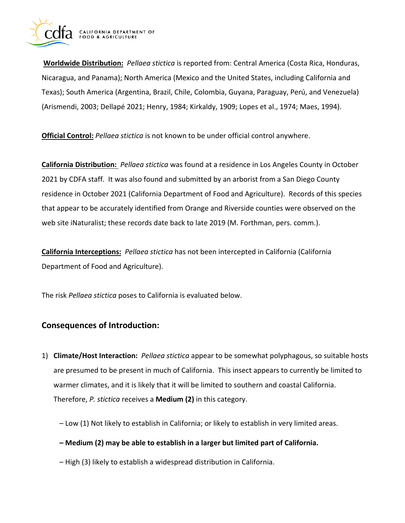

**Worldwide Distribution:** *Pellaea stictica* is reported from: Central America (Costa Rica, Honduras, Nicaragua, and Panama); North America (Mexico and the United States, including California and Texas); South America (Argentina, Brazil, Chile, Colombia, Guyana, Paraguay, Perú, and Venezuela) (Arismendi, 2003; Dellapé 2021; Henry, 1984; Kirkaldy, 1909; Lopes et al., 1974; Maes, 1994).

**Official Control:** *Pellaea stictica* is not known to be under official control anywhere.

**California Distribution:** *Pellaea stictica* was found at a residence in Los Angeles County in October 2021 by CDFA staff. It was also found and submitted by an arborist from a San Diego County residence in October 2021 (California Department of Food and Agriculture). Records of this species that appear to be accurately identified from Orange and Riverside counties were observed on the web site iNaturalist; these records date back to late 2019 (M. Forthman, pers. comm.).

**California Interceptions:** *Pellaea stictica* has not been intercepted in California (California Department of Food and Agriculture).

The risk *Pellaea stictica* poses to California is evaluated below.

# **Consequences of Introduction:**

- 1) **Climate/Host Interaction:** *Pellaea stictica* appear to be somewhat polyphagous, so suitable hosts are presumed to be present in much of California. This insect appears to currently be limited to warmer climates, and it is likely that it will be limited to southern and coastal California. Therefore, *P. stictica* receives a **Medium (2)** in this category.
	- Low (1) Not likely to establish in California; or likely to establish in very limited areas.
	- **Medium (2) may be able to establish in a larger but limited part of California.**
	- High (3) likely to establish a widespread distribution in California.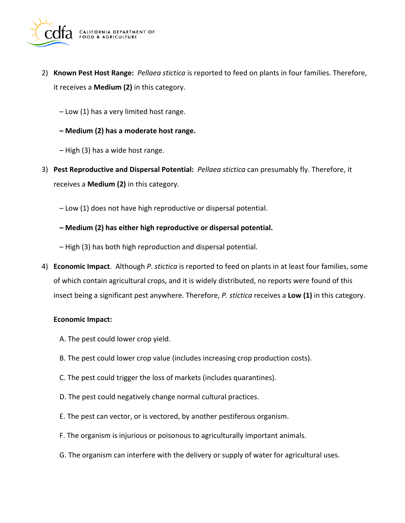

- 2) **Known Pest Host Range:** *Pellaea stictica* is reported to feed on plants in four families. Therefore, it receives a **Medium (2)** in this category.
	- Low (1) has a very limited host range.
	- **Medium (2) has a moderate host range.**
	- High (3) has a wide host range.
- 3) **Pest Reproductive and Dispersal Potential:** *Pellaea stictica* can presumably fly. Therefore, it receives a **Medium (2)** in this category.
	- Low (1) does not have high reproductive or dispersal potential.
	- **Medium (2) has either high reproductive or dispersal potential.**
	- High (3) has both high reproduction and dispersal potential.
- 4) **Economic Impact**. Although *P*. *stictica* is reported to feed on plants in at least four families, some of which contain agricultural crops, and it is widely distributed, no reports were found of this insect being a significant pest anywhere. Therefore, *P. stictica* receives a **Low (1)** in this category.

#### **Economic Impact:**

- A. The pest could lower crop yield.
- B. The pest could lower crop value (includes increasing crop production costs).
- C. The pest could trigger the loss of markets (includes quarantines).
- D. The pest could negatively change normal cultural practices.
- E. The pest can vector, or is vectored, by another pestiferous organism.
- F. The organism is injurious or poisonous to agriculturally important animals.
- G. The organism can interfere with the delivery or supply of water for agricultural uses.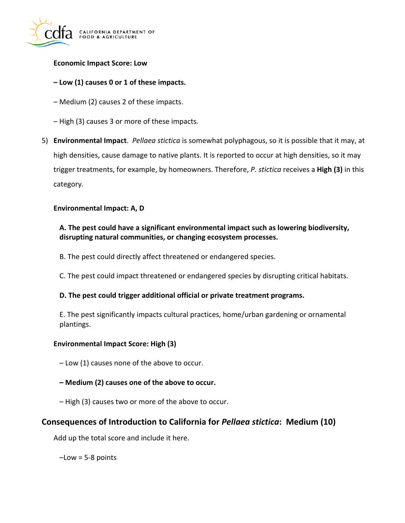

#### **Economic Impact Score: Low**

#### **– Low (1) causes 0 or 1 of these impacts.**

- Medium (2) causes 2 of these impacts.
- High (3) causes 3 or more of these impacts.
- 5) **Environmental Impact**. *Pellaea stictica* is somewhat polyphagous, so it is possible that it may, at high densities, cause damage to native plants. It is reported to occur at high densities, so it may trigger treatments, for example, by homeowners. Therefore, *P. stictica* receives a **High (3)** in this category.

#### **Environmental Impact: A, D**

### **A. The pest could have a significant environmental impact such as lowering biodiversity, disrupting natural communities, or changing ecosystem processes.**

- B. The pest could directly affect threatened or endangered species.
- C. The pest could impact threatened or endangered species by disrupting critical habitats.

#### **D. The pest could trigger additional official or private treatment programs.**

E. The pest significantly impacts cultural practices, home/urban gardening or ornamental plantings.

#### **Environmental Impact Score: High (3)**

– Low (1) causes none of the above to occur.

- **Medium (2) causes one of the above to occur.**
- High (3) causes two or more of the above to occur.

# **Consequences of Introduction to California for** *Pellaea stictica***: Medium (10)**

Add up the total score and include it here.

 $-$ Low = 5-8 points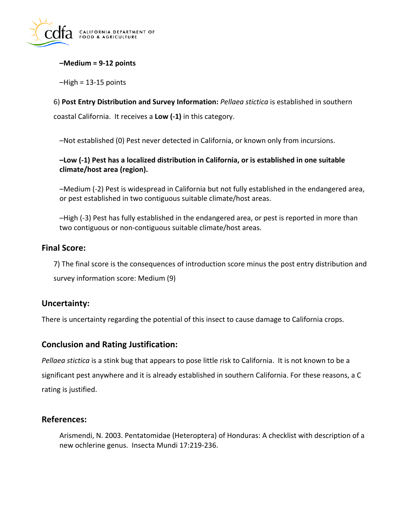

### **–Medium = 9-12 points**

 $-High = 13-15$  points

6) **Post Entry Distribution and Survey Information:** *Pellaea stictica* is established in southern coastal California. It receives a **Low (-1)** in this category.

–Not established (0) Pest never detected in California, or known only from incursions.

### **–Low (-1) Pest has a localized distribution in California, or is established in one suitable climate/host area (region).**

–Medium (-2) Pest is widespread in California but not fully established in the endangered area, or pest established in two contiguous suitable climate/host areas.

–High (-3) Pest has fully established in the endangered area, or pest is reported in more than two contiguous or non-contiguous suitable climate/host areas.

### **Final Score:**

7) The final score is the consequences of introduction score minus the post entry distribution and survey information score: Medium (9)

### **Uncertainty:**

There is uncertainty regarding the potential of this insect to cause damage to California crops.

### **Conclusion and Rating Justification:**

*Pellaea stictica* is a stink bug that appears to pose little risk to California. It is not known to be a significant pest anywhere and it is already established in southern California. For these reasons, a C rating is justified.

## **References:**

Arismendi, N. 2003. Pentatomidae (Heteroptera) of Honduras: A checklist with description of a new ochlerine genus. Insecta Mundi 17:219-236.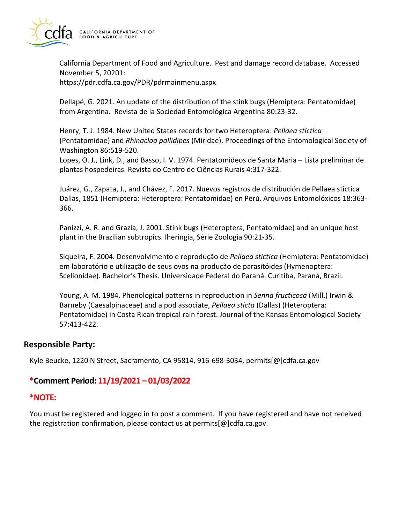

California Department of Food and Agriculture. Pest and damage record database. Accessed November 5, 20201:

<https://pdr.cdfa.ca.gov/PDR/pdrmainmenu.aspx>

Dellapé, G. 2021. An update of the distribution of the stink bugs (Hemiptera: Pentatomidae) from Argentina. Revista de la Sociedad Entomológica Argentina 80:23-32.

Henry, T. J. 1984. New United States records for two Heteroptera: *Pellaea stictica*  (Pentatomidae) and *Rhinacloa pallidipes* (Miridae). Proceedings of the Entomological Society of Washington 86:519-520.

Lopes, O. J., Link, D., and Basso, I. V. 1974. Pentatomideos de Santa Maria – Lista preliminar de plantas hospedeiras. Revista do Centro de Ciências Rurais 4:317-322.

Juárez, G., Zapata, J., and Chávez, F. 2017. Nuevos registros de distribución de Pellaea stictica Dallas, 1851 (Hemiptera: Heteroptera: Pentatomidae) en Perú. Arquivos Entomolóxicos 18:363- 366.

Panizzi, A. R. and Grazia, J. 2001. Stink bugs (Heteroptera, Pentatomidae) and an unique host plant in the Brazilian subtropics. Iheringia, Série Zoologia 90:21-35.

 Siqueira, F. 2004. Desenvolvimento e reproduҫão de *Pellaea stictica* (Hemiptera: Pentatomidae) em laboratório e utilizaҫão de seus ovos na produҫão de parasitóides (Hymenoptera: Scelionidae). Bachelor's Thesis. Universidade Federal do Paraná. Curitiba, Paraná, Brazil.

Young, A. M. 1984. Phenological patterns in reproduction in *Senna fructicosa* (Mill.) Irwin & Barneby (Caesalpinaceae) and a pod associate, *Pellaea sticta* (Dallas) (Heteroptera: Pentatomidae) in Costa Rican tropical rain forest. Journal of the Kansas Entomological Society 57:413-422.

### **Responsible Party:**

Kyle Beucke, 1220 N Street, Sacramento, CA 95814, 916-698-3034, [permits\[@\]cdfa.ca.gov](https://permits[@]cdfa.ca.gov) 

# **\*Comment Period: 11/19/2021 – 01/03/2022**

### **\*NOTE:**

You must be registered and logged in to post a comment. If you have registered and have not received the registration confirmation, please contact us at [permits\[@\]cdfa.ca.gov](https://permits[@]cdfa.ca.gov).